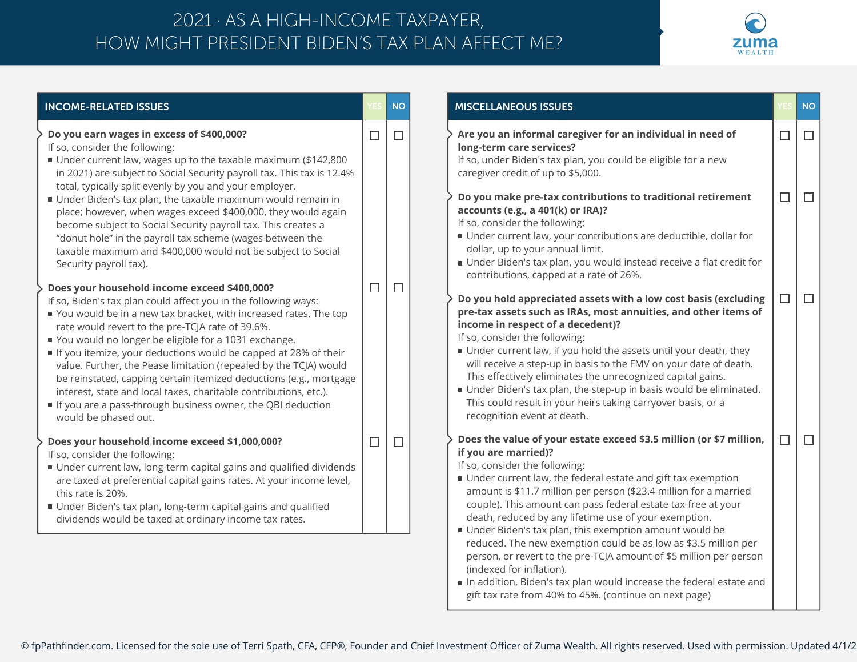## HOW MIGHT PRESIDENT BIDEN'S TAX PLAN AFFECT ME? 2021 · AS A HIGH-INCOME TAXPAYER,



| <b>INCOME-RELATED ISSUES</b>                                                                                                                                                                                                                                                                                                                                                                                                                                                                                                                                                                                                                                              |        | <b>NO</b> | <b>MISCELLANEOUS ISSUES</b>                                                                                                                                                                                                                                                                                                                                                                                                                                                                                                                                                                                                                                                                                                                                  |        | <b>NO</b> |
|---------------------------------------------------------------------------------------------------------------------------------------------------------------------------------------------------------------------------------------------------------------------------------------------------------------------------------------------------------------------------------------------------------------------------------------------------------------------------------------------------------------------------------------------------------------------------------------------------------------------------------------------------------------------------|--------|-----------|--------------------------------------------------------------------------------------------------------------------------------------------------------------------------------------------------------------------------------------------------------------------------------------------------------------------------------------------------------------------------------------------------------------------------------------------------------------------------------------------------------------------------------------------------------------------------------------------------------------------------------------------------------------------------------------------------------------------------------------------------------------|--------|-----------|
| Do you earn wages in excess of \$400,000?<br>If so, consider the following:<br>Under current law, wages up to the taxable maximum (\$142,800<br>in 2021) are subject to Social Security payroll tax. This tax is 12.4%                                                                                                                                                                                                                                                                                                                                                                                                                                                    | $\Box$ | $\Box$    | Are you an informal caregiver for an individual in need of<br>long-term care services?<br>If so, under Biden's tax plan, you could be eligible for a new<br>caregiver credit of up to \$5,000.                                                                                                                                                                                                                                                                                                                                                                                                                                                                                                                                                               | $\Box$ | $\Box$    |
| total, typically split evenly by you and your employer.<br>Under Biden's tax plan, the taxable maximum would remain in<br>place; however, when wages exceed \$400,000, they would again<br>become subject to Social Security payroll tax. This creates a<br>"donut hole" in the payroll tax scheme (wages between the<br>taxable maximum and \$400,000 would not be subject to Social<br>Security payroll tax).                                                                                                                                                                                                                                                           |        |           | Do you make pre-tax contributions to traditional retirement<br>accounts (e.g., a 401(k) or IRA)?<br>If so, consider the following:<br>Under current law, your contributions are deductible, dollar for<br>dollar, up to your annual limit.<br>Under Biden's tax plan, you would instead receive a flat credit for<br>contributions, capped at a rate of 26%.                                                                                                                                                                                                                                                                                                                                                                                                 | $\Box$ | $\Box$    |
| Does your household income exceed \$400,000?<br>If so, Biden's tax plan could affect you in the following ways:<br>You would be in a new tax bracket, with increased rates. The top<br>rate would revert to the pre-TCJA rate of 39.6%.<br>You would no longer be eligible for a 1031 exchange.<br>If you itemize, your deductions would be capped at 28% of their<br>value. Further, the Pease limitation (repealed by the TCJA) would<br>be reinstated, capping certain itemized deductions (e.g., mortgage<br>interest, state and local taxes, charitable contributions, etc.).<br>If you are a pass-through business owner, the QBI deduction<br>would be phased out. | $\Box$ | $\Box$    | Do you hold appreciated assets with a low cost basis (excluding<br>pre-tax assets such as IRAs, most annuities, and other items of<br>income in respect of a decedent)?<br>If so, consider the following:<br>Under current law, if you hold the assets until your death, they<br>will receive a step-up in basis to the FMV on your date of death.<br>This effectively eliminates the unrecognized capital gains.<br>Under Biden's tax plan, the step-up in basis would be eliminated.<br>This could result in your heirs taking carryover basis, or a<br>recognition event at death.                                                                                                                                                                        | П      | $\Box$    |
| Does your household income exceed \$1,000,000?<br>If so, consider the following:<br>Under current law, long-term capital gains and qualified dividends<br>are taxed at preferential capital gains rates. At your income level,<br>this rate is 20%.<br>Under Biden's tax plan, long-term capital gains and qualified<br>dividends would be taxed at ordinary income tax rates.                                                                                                                                                                                                                                                                                            | $\Box$ | $\Box$    | Does the value of your estate exceed \$3.5 million (or \$7 million,<br>if you are married)?<br>If so, consider the following:<br>Under current law, the federal estate and gift tax exemption<br>amount is \$11.7 million per person (\$23.4 million for a married<br>couple). This amount can pass federal estate tax-free at your<br>death, reduced by any lifetime use of your exemption.<br>Under Biden's tax plan, this exemption amount would be<br>reduced. The new exemption could be as low as \$3.5 million per<br>person, or revert to the pre-TCJA amount of \$5 million per person<br>(indexed for inflation).<br>In addition, Biden's tax plan would increase the federal estate and<br>gift tax rate from 40% to 45%. (continue on next page) | $\Box$ | $\Box$    |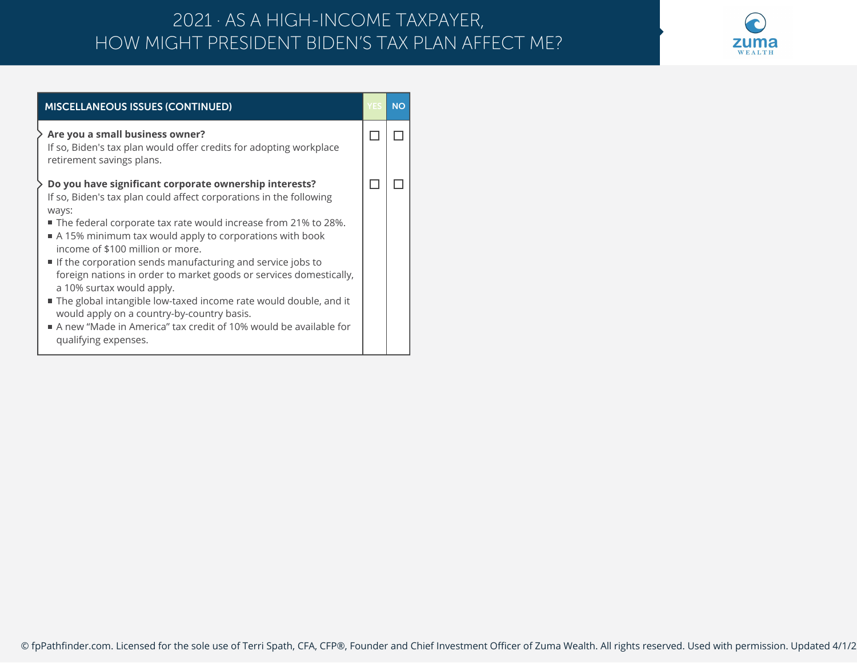## HOW MIGHT PRESIDENT BIDEN'S TAX PLAN AFFECT ME? 2021 · AS A HIGH-INCOME TAXPAYER,



| <b>MISCELLANEOUS ISSUES (CONTINUED)</b>                                                                                                                                                                                                                                                                                                                                                                                                                                                                                                                                                                                                                                                 |  | <b>NO</b> |  |
|-----------------------------------------------------------------------------------------------------------------------------------------------------------------------------------------------------------------------------------------------------------------------------------------------------------------------------------------------------------------------------------------------------------------------------------------------------------------------------------------------------------------------------------------------------------------------------------------------------------------------------------------------------------------------------------------|--|-----------|--|
| $\cdot$ Are you a small business owner?<br>If so, Biden's tax plan would offer credits for adopting workplace<br>retirement savings plans.                                                                                                                                                                                                                                                                                                                                                                                                                                                                                                                                              |  |           |  |
| Do you have significant corporate ownership interests?<br>If so, Biden's tax plan could affect corporations in the following<br>ways:<br>■ The federal corporate tax rate would increase from 21% to 28%.<br>A 15% minimum tax would apply to corporations with book<br>income of \$100 million or more.<br>If the corporation sends manufacturing and service jobs to<br>foreign nations in order to market goods or services domestically,<br>a 10% surtax would apply.<br>The global intangible low-taxed income rate would double, and it<br>would apply on a country-by-country basis.<br>A new "Made in America" tax credit of 10% would be available for<br>qualifying expenses. |  |           |  |